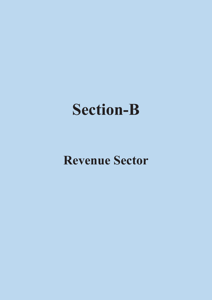# **Section-B**

# **Revenue Sector**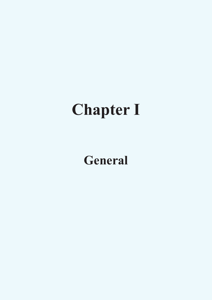# **Chapter I**

# **General**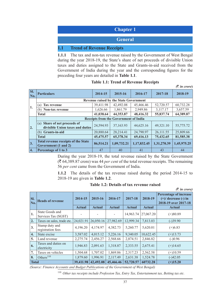| <b>Chapter 1</b>                       |
|----------------------------------------|
| <b>General</b>                         |
| <b>1.1 • Trend of Revenue Receipts</b> |

**1.1.1** The tax and non-tax revenue raised by the Government of West Bengal during the year 2018-19, the State's share of net proceeds of divisible Union taxes and duties assigned to the State and Grants-in-aid received from the Government of India during the year and the corresponding figures for the preceding four years are detailed in **Table 1.1**.

|                    |                                                                    |           |             |             |             | $(3 \nvert n \text{ error})$ |  |  |  |  |  |
|--------------------|--------------------------------------------------------------------|-----------|-------------|-------------|-------------|------------------------------|--|--|--|--|--|
| SI.<br>$\vert$ No. | <b>Particulars</b>                                                 | 2014-15   | 2015-16     | 2016-17     | 2017-18     | 2018-19                      |  |  |  |  |  |
|                    | <b>Revenue raised by the State Government</b>                      |           |             |             |             |                              |  |  |  |  |  |
| 1.                 | <b>Tax revenue</b><br>(a)                                          | 39,411.98 | 42,492.08   | 45,466.46   | 52,720.57   | 60,732.28                    |  |  |  |  |  |
|                    | (b) <b>Non-tax</b> revenue                                         | 1,626.66  | 1,861.79    | 2,949.86    | 3,117.17    | 3,657.59                     |  |  |  |  |  |
|                    | <b>Total</b>                                                       | 41,038.64 | 44,353.87   | 48,416.32   | 55,837.74   | 64,389.87                    |  |  |  |  |  |
|                    | <b>Receipts from the Government of India</b>                       |           |             |             |             |                              |  |  |  |  |  |
| $\overline{2}$ .   | (a) Share of net proceeds of<br>divisible Union taxes and duties   | 24,594.93 | 37,163.93   | 44,625.16   | 49,321.10   | 55,775.72                    |  |  |  |  |  |
|                    | Grants-in-aid<br>(b)                                               | 20,880.64 | 28,214.41   | 24,790.97   | 26,111.55   | 25,809.66                    |  |  |  |  |  |
|                    | <b>Total</b>                                                       | 45,475.57 | 65,378.34   | 69,416.13   | 75,432.65   | 81,585.38                    |  |  |  |  |  |
| $\vert$ 3.         | <b>Total revenue receipts of the State</b><br>Government (1 and 2) | 86,514.21 | 1,09,732.21 | 1,17,832.45 | 1,31,270.39 | 1,45,975.25                  |  |  |  |  |  |
| $\vert 4.$         | Percentage of 1 to 3                                               | 47        | 40          | 41          | 43          | 44                           |  |  |  |  |  |

### **Table 1.1: Trend of Revenue Receipts**

During the year 2018-19, the total revenue raised by the State Government (` 64,389.87 crore) was 44 *per cent* of the total revenue receipts. The remaining 56 *per cent* came from the Government of India.

**1.1.2** The details of the tax revenue raised during the period 2014-15 to 2018-19 are given in **Table 1.2**.

**Table 1.2: Details of tax revenue raised**

|                   |                                        |                          |                          |                          |                          |                          | $(3 \nvert n \nvert c)$                                                                     |
|-------------------|----------------------------------------|--------------------------|--------------------------|--------------------------|--------------------------|--------------------------|---------------------------------------------------------------------------------------------|
| SI.<br>$\bf{No.}$ | <b>Heads of revenue</b>                | 2014-15<br><b>Actual</b> | 2015-16<br><b>Actual</b> | 2016-17<br><b>Actual</b> | 2017-18<br><b>Actual</b> | 2018-19<br><b>Actual</b> | Percentage of increase<br>$(+)/$ decrease $(-)$ in<br>2018-19 over 2017-18<br><b>Actual</b> |
| 1.                | State Goods and<br>Services Tax (SGST) |                          |                          |                          | 14,963.74                | 27,067.20                | $(+)80.89$                                                                                  |
| 2.                | Taxes on sales, trade etc.             | 24,021.91                | 26,050.16                | 27,982.69                | 12,999.34                | 7,813.03                 | $(-)39.90$                                                                                  |
| 3.                | Stamp duty and<br>registration fees    | 4,196.20                 | 4,174.97                 | 4,382.73                 | 5,260.77                 | 5,620.01                 | $(+)6.83$                                                                                   |
| 4.                | State excise                           | 3,587.02                 | 4,015.12                 | 5,226.16                 | 9,340.05                 | 10,622.45                | $(+)13.73$                                                                                  |
| 5.                | Land revenue                           | 2,275.74                 | 2,456.27                 | 2,568.66                 | 2,874.51                 | 2,846.82                 | $(-)0.96$                                                                                   |
| 6.                | Taxes and duties on<br>electricity     | 1,946.83                 | 2,091.63                 | 1,318.87                 | 2,333.55                 | 2,675.41                 | $(+)14.65$                                                                                  |
| 7.                | Taxes on vehicles                      | 1,504.68                 | 1,707.02                 | 1,869.86                 | 2,317.23                 | 2,562.58                 | $(+)10.59$                                                                                  |
| 8.                | Others <sup>110</sup>                  | 1,879.60                 | 1,996.91                 | 2,117.49                 | 2,631.38                 | 1,524.78                 | $(-)42.05$                                                                                  |
| <b>Total</b>      |                                        | 39,411.98                | 42,492.08                | 45,466.46                | 52,720.57                | 60732.28                 | $(+)15.20$                                                                                  |

(Source: Finance Accounts and Budget Publications of the Government of West Bengal)

<sup>110</sup> *Other tax receipts include Profession Tax, Entry Tax, Entertainment tax, Betting tax etc.*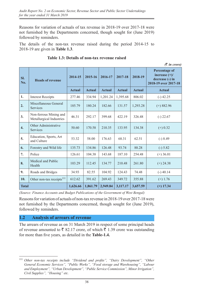Reasons for variation of actuals of tax revenue in 2018-19 over 2017-18 were not furnished by the Departments concerned, though sought for (June 2019) followed by reminders.

The details of the non-tax revenue raised during the period 2014-15 to 2018-19 are given in **Table 1.3**.

|              |                                                    |               |               |               |               |               | $\bar{\mathcal{R}}$ in crore)                                                      |
|--------------|----------------------------------------------------|---------------|---------------|---------------|---------------|---------------|------------------------------------------------------------------------------------|
| SI.<br>No.   | <b>Heads of revenue</b>                            | 2014-15       | 2015-16       | 2016-17       | 2017-18       | 2018-19       | <b>Percentage of</b><br>increase $(+)/$<br>decrease (-) in<br>2018-19 over 2017-18 |
|              |                                                    | <b>Actual</b> | <b>Actual</b> | <b>Actual</b> | <b>Actual</b> | <b>Actual</b> | <b>Actual</b>                                                                      |
| 1.           | <b>Interest Receipts</b>                           | 277.46        | 334.94        | 1,201.24      | 1,395.68      | 806.02        | $(-)$ 42.25                                                                        |
| 2.           | Miscellaneous General<br><b>Services</b>           | 185.79        | 180.24        | 182.66        | 131.57        | 1,293.28      | $(+)$ 882.96                                                                       |
| 3.           | Non-ferrous Mining and<br>Metallurgical Industries | 46.31         | 292.17        | 399.68        | 422.19        | 326.48        | $(-)$ 22.67                                                                        |
| 4.           | Other Administrative<br><b>Services</b>            | 50.60         | 170.58        | 210.35        | 133.95        | 134.38        | $(+) 0.32$                                                                         |
| 5.           | Education, Sports, Art<br>and Culture              | 53.32         | 58.00         | 176.63        | 68.31         | 62.51         | $(-) 8.49$                                                                         |
| 6.           | Forestry and Wild life                             | 135.73        | 134.86        | 126.48        | 93.74         | 88.28         | $(-) 5.82$                                                                         |
| 7.           | Police                                             | 126.61        | 104.38        | 143.68        | 187.10        | 254.48        | $(+)$ 36.01                                                                        |
| 8.           | Medical and Public<br>Health                       | 103.29        | 112.45        | 134.77        | 210.48        | 261.80        | $(+)$ 24.38                                                                        |
| 9.           | Roads and Bridges                                  | 34.93         | 82.55         | 104.92        | 124.43        | 74.48         | $(-)$ 40.14                                                                        |
| 10.          | Other non-tax receipts <sup>111</sup>              | 612.62        | 391.62        | 269.43        | 349.72        | 355.88        | $(+)$ 1.76                                                                         |
| <b>Total</b> |                                                    | 1,626.66      | 1,861.79      | 2,949.84      | 3,117.17      | 3,657.59      | $(+)$ 17.34                                                                        |

#### **Table 1.3: Details of non-tax revenue raised**

*(Source: Finance Accounts and Budget Publications of the Government of West Bengal)* 

Reasons for variation of actuals of non-tax revenue in 2018-19 over 2017-18 were not furnished by the Departments concerned, though sought for (June 2019), followed by reminders.

### **1.2 Analysis of arrears of revenue**

The arrears of revenue as on 31 March 2019 in respect of some principal heads of revenue amounted to  $\bar{\mathfrak{g}}$  82.17 crore, of which  $\bar{\mathfrak{g}}$  1.39 crore was outstanding for more than five years, as detailed in the **Table-1.4.**

<sup>111</sup> *Other non-tax receipts include "Dividend and profits", "Dairy Development", "Other General Economic Services", "Public Works", "Food storage and Warehousing", "Labour and Employment", "Urban Development", "Public Service Commission", Minor Irrigation", Civil Supplies", "Housing" etc.*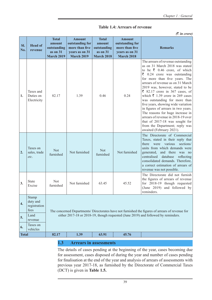|  |  |  | <b>Table 1.4: Arrears of revenue</b> |
|--|--|--|--------------------------------------|
|--|--|--|--------------------------------------|

*(*` *in crore)*

| SI.<br>No.         | <b>Head of</b><br>revenue                                                                                         | <b>Total</b><br>amount<br>outstanding<br>as on 31<br><b>March 2019</b> | <b>Amount</b><br>outstanding for<br>more than five<br>years as on 31<br><b>March 2019</b> | <b>Total</b><br>amount<br>outstanding<br>as on 31<br><b>March 2018</b> | <b>Amount</b><br>outstanding for<br>more than five<br>years as on 31<br><b>March 2018</b> | <b>Remarks</b>                                                                                                                                                                                                                                                                                                                                                                                                                                                                                                                                                                                                                                     |  |  |  |
|--------------------|-------------------------------------------------------------------------------------------------------------------|------------------------------------------------------------------------|-------------------------------------------------------------------------------------------|------------------------------------------------------------------------|-------------------------------------------------------------------------------------------|----------------------------------------------------------------------------------------------------------------------------------------------------------------------------------------------------------------------------------------------------------------------------------------------------------------------------------------------------------------------------------------------------------------------------------------------------------------------------------------------------------------------------------------------------------------------------------------------------------------------------------------------------|--|--|--|
| 1.                 | Taxes and<br>Duties on<br>Electricity                                                                             | 82.17                                                                  | 1.39                                                                                      | 0.46                                                                   | 0.24                                                                                      | The arrears of revenue outstanding<br>as on 31 March 2018 was stated<br>to be $\overline{\xi}$ 0.46 crore, of which<br>$\overline{\xi}$ 0.24 crore was outstanding<br>for more than five years. The<br>arrears of revenue as on 31 March<br>2019 was, however, stated to be<br>₹ 82.17 crore in 367 cases, of<br>which $\bar{\xi}$ 1.39 crore in 269 cases<br>was outstanding for more than<br>five years, showing wide variation<br>in figures of arrears in two years.<br>The reasons for huge increase in<br>arrears of revenue in 2018-19 over<br>that of 2017-18 was sought for<br>from the Department; reply was<br>awaited (February 2021). |  |  |  |
| 2.                 | Taxes on<br>sales, trade<br>etc.                                                                                  | <b>Not</b><br>furnished                                                | Not furnished                                                                             | <b>Not</b><br>furnished                                                | Not furnished                                                                             | The Directorate of Commercial<br>Taxes, stated in their reply that<br>there were<br>various<br>sections/<br>units from which demands were<br>generated,<br>and there was no<br>centralised<br>database<br>reflecting<br>consolidated demands. Therefore,<br>a correct estimation of arrears of<br>revenue was not possible.                                                                                                                                                                                                                                                                                                                        |  |  |  |
| 3.                 | <b>State</b><br>Excise                                                                                            | Not<br>furnished                                                       | Not furnished                                                                             | 63.45                                                                  | 45.52                                                                                     | The Directorate did not furnish<br>the figures of arrears of revenue<br>for 2018-19 though requested<br>(June 2019) and followed by<br>reminders.                                                                                                                                                                                                                                                                                                                                                                                                                                                                                                  |  |  |  |
| $\overline{4}$ .   | Stamp<br>duty and<br>registration<br>fees                                                                         |                                                                        |                                                                                           |                                                                        |                                                                                           | The concerned Departments/ Directorates have not furnished the figures of arrears of revenue for                                                                                                                                                                                                                                                                                                                                                                                                                                                                                                                                                   |  |  |  |
| 5.                 | either 2017-18 or 2018-19, though requested (June 2019) and followed by reminders.<br>Land<br>revenue<br>Taxes on |                                                                        |                                                                                           |                                                                        |                                                                                           |                                                                                                                                                                                                                                                                                                                                                                                                                                                                                                                                                                                                                                                    |  |  |  |
| 6.<br><b>Total</b> | vehicles                                                                                                          | 82.17                                                                  | 1.39<br>63.91<br>45.76                                                                    |                                                                        |                                                                                           |                                                                                                                                                                                                                                                                                                                                                                                                                                                                                                                                                                                                                                                    |  |  |  |
|                    |                                                                                                                   |                                                                        |                                                                                           |                                                                        |                                                                                           |                                                                                                                                                                                                                                                                                                                                                                                                                                                                                                                                                                                                                                                    |  |  |  |

#### **1.3 Arrears in assessments**

The details of cases pending at the beginning of the year, cases becoming due for assessment, cases disposed of during the year and number of cases pending for finalisation at the end of the year and analysis of arrears of assessments with previous year 2017-18, as furnished by the Directorate of Commercial Taxes (DCT) is given in **Table 1.5.**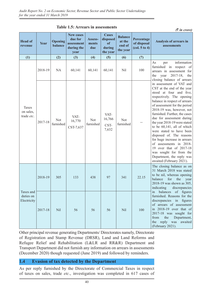|                                       |         |                           | TADIC 1.3. ATTEATS IN ASSESSMENTS                               |                         |                                                      |                                                |                                                                            | $(3 \nvert n \nvert)$                                                                                                                                                                                                                                                                                                                                                                                                                                                                                                                                                         |
|---------------------------------------|---------|---------------------------|-----------------------------------------------------------------|-------------------------|------------------------------------------------------|------------------------------------------------|----------------------------------------------------------------------------|-------------------------------------------------------------------------------------------------------------------------------------------------------------------------------------------------------------------------------------------------------------------------------------------------------------------------------------------------------------------------------------------------------------------------------------------------------------------------------------------------------------------------------------------------------------------------------|
| <b>Head of</b><br>revenue             | Year    | <b>Opening</b><br>balance | <b>New cases</b><br>due for<br>assessment<br>during the<br>year | Assess-<br>ments<br>due | <b>Cases</b><br>disposed<br>of<br>during<br>the year | <b>Balance</b><br>at the<br>end of<br>the year | Percentage<br>of disposal<br>$\left( \text{col. } 5 \text{ to } 4 \right)$ | Analysis of arrears in<br>assessments                                                                                                                                                                                                                                                                                                                                                                                                                                                                                                                                         |
| (1)                                   |         | (2)                       | (3)                                                             | (4)                     | (5)                                                  | (6)                                            | (7)                                                                        |                                                                                                                                                                                                                                                                                                                                                                                                                                                                                                                                                                               |
|                                       | 2018-19 | NA                        | 60,141                                                          | 60,141                  | 60,141                                               | Nil                                            | 100                                                                        | information<br>As<br>per<br>furnished in respect of<br>arrears in assessment for<br>$2017 - 18$ ,<br>the<br>year<br>the<br>closing balance of arrears                                                                                                                                                                                                                                                                                                                                                                                                                         |
| Taxes<br>on sales,<br>trade etc.      | 2017-18 | <b>Not</b><br>furnished   | VAT-<br>16,770<br>CST-7,637                                     | <b>Not</b><br>furnished | VAT-<br>16,766<br>CST-<br>7,632                      | <b>Not</b><br>furnished                        |                                                                            | in assessment of VAT and<br>CST at the end of the year<br>stood at four and five,<br>respectively. The opening<br>balance in respect of arrears<br>of assessment for the period<br>2018-19 was, however, not<br>furnished. Further, the cases<br>due for assessment during<br>the year 2018-19 were stated<br>to be $60,141$ , all of which<br>were stated to have been<br>disposed of. The reasons<br>for huge increase in arrears<br>of assessments in 2018-<br>19 over that of 2017-18<br>was sought for from the<br>Department, the reply was<br>awaited (February 2021). |
|                                       | 2018-19 | 305                       | 133                                                             | 438                     | 97                                                   | 341                                            | 22.15                                                                      | The closing balance as on<br>31 March 2018 was stated<br>to be nil, whereas opening<br>balance<br>for<br>the<br>year<br>2018-19 was shown as 305,<br>indicating discrepancies<br>balances<br>of figures<br>in                                                                                                                                                                                                                                                                                                                                                                 |
| Taxes and<br>duties on<br>Electricity | 2017-18 | Nil                       | 56                                                              | 56                      | 56                                                   | Nil                                            | 100                                                                        | furnished. Reasons for the<br>discrepancies in figures<br>of arrears of assessment<br>in 2018-19 over that of<br>2017-18 was sought for<br>from<br>the<br>Department,<br>the reply was<br>awaited<br>(February 2021).                                                                                                                                                                                                                                                                                                                                                         |

**Table 1.5: Arrears in assessments**

Other principal revenue generating Departments/ Directorates namely, Directorate of Registration and Stamp Revenue (DRSR), Land and Land Reforms and Refugee Relief and Rehabilitation (L&LR and RR&R) Department and Transport Department did not furnish any information on arrears in assessments (December 2020) though requested (June 2019) and followed by reminders.

### **1.4 Evasion of tax detected by the Department**

As per reply furnished by the Directorate of Commercial Taxes in respect of taxes on sales, trade *etc*., investigation was completed in 617 cases of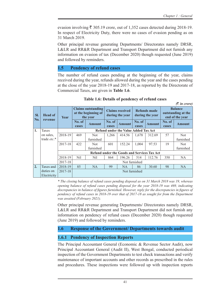evasion involving  $\bar{\xi}$  305.19 crore, out of 1,352 cases detected during 2018-19. In respect of Electricity Duty, there were no cases of evasion pending as on 31 March 2019.

Other principal revenue generating Departments/ Directorates namely DRSR, L&LR and RR&R Department and Transport Department did not furnish any information on evasion of tax (December 2020) though requested (June 2019) and followed by reminders.

#### **1.5 Pendency of refund cases**

The number of refund cases pending at the beginning of the year, claims received during the year, refunds allowed during the year and the cases pending at the close of the year 2018-19 and 2017-18, as reported by the Directorate of Commercial Taxes, are given in **Table 1.6**.

|            |                           |             |                 |                                                              |                 |                                             |                 |                                                    |                                                         | $(3 \nvert n \text{ error})$ |
|------------|---------------------------|-------------|-----------------|--------------------------------------------------------------|-----------------|---------------------------------------------|-----------------|----------------------------------------------------|---------------------------------------------------------|------------------------------|
| SI.<br>No. | <b>Head of</b><br>revenue | <b>Year</b> |                 | <b>Claims outstanding</b><br>at the beginning of<br>the year |                 | <b>Claims received</b><br>during the year   |                 | Refunds made<br>during the year                    | <b>Balance</b><br>outstanding at the<br>end of the year |                              |
|            |                           |             | No. of<br>cases | Amount                                                       | No. of<br>cases | <b>Amount</b>                               | No. of<br>cases | <b>Amount</b>                                      | No. of<br>cases                                         | <b>Amount</b>                |
| 1.         | Taxes                     |             |                 |                                                              |                 | <b>Refund under the Value Added Tax Act</b> |                 |                                                    |                                                         |                              |
|            | on sales,                 | 2018-19     | 469             | <b>Not</b>                                                   | 1,266           | 414.56                                      | 1,678           | 312.69                                             | 57                                                      | <b>Not</b>                   |
|            | trade etc.*               |             |                 | furnished                                                    |                 |                                             |                 |                                                    |                                                         | furnished                    |
|            |                           | 2017-18     | 422             | Not.                                                         | 601             | 152.24                                      | 1,004           | 97.53                                              | 19                                                      | <b>Not</b>                   |
|            |                           |             |                 | furnished                                                    |                 |                                             |                 |                                                    |                                                         | furnished                    |
|            |                           |             |                 |                                                              |                 |                                             |                 | <b>Refund under the Goods and Services Tax Act</b> |                                                         |                              |
|            |                           | 2018-19     | Nil             | Nil                                                          | 864             | 196.26                                      | 514             | 112.76                                             | 350                                                     | NA.                          |
|            |                           | 2017-18     |                 |                                                              |                 |                                             | Not furnished   |                                                    |                                                         |                              |
| 2.         | Taxes and                 | 2018-19     | 85              | <b>NA</b>                                                    | 99              | NA.                                         | 86              | 30.60                                              | 98                                                      | <b>NA</b>                    |
|            | duties on                 | 2017-18     |                 |                                                              |                 |                                             | Not furnished   |                                                    |                                                         |                              |
|            | Electricity               |             |                 |                                                              |                 |                                             |                 |                                                    |                                                         |                              |

**Table 1.6: Details of pendency of refund cases**

*\* The closing balance of refund cases pending disposal as on 31 March 2018 was 19, whereas opening balance of refund cases pending disposal for the year 2018-19 was 469, indicating discrepancies in balance of figures furnished. However, reply for the discrepancies in figures of pendency of refund cases in 2018-19 over that of 2017-18 as sought for from the Department was awaited (February 2021).*

Other principal revenue generating Departments/ Directorates namely DRSR, L&LR and RR&R Department and Transport Department did not furnish any information on pendency of refund cases (December 2020) though requested (June 2019) and followed by reminders.

### **1.6 Response of the Government/ Departments towards audit**

### **1.6.1 Pendency of Inspection Reports**

The Principal Accountant General (Economic & Revenue Sector Audit), now Principal Accountant General (Audit II), West Bengal, conducted periodical inspection of the Government Departments to test check transactions and verify maintenance of important accounts and other records as prescribed in the rules and procedures. These inspections were followed up with inspection reports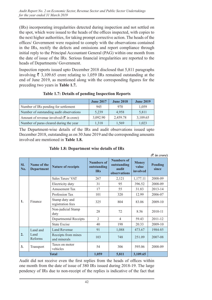(IRs) incorporating irregularities detected during inspection and not settled on the spot, which were issued to the heads of the offices inspected, with copies to the next higher authorities, for taking prompt corrective action. The heads of the offices/ Government were required to comply with the observations contained in the IRs, rectify the defects and omissions and report compliance through initial reply to the Principal Accountant General (PAG) within one month from the date of issue of the IRs. Serious financial irregularities are reported to the heads of Departments/ Government.

Inspection reports issued upto December 2018 disclosed that 5,811 paragraphs involving  $\bar{\xi}$  3,109.65 crore relating to 1,059 IRs remained outstanding at the end of June 2019, as mentioned along with the corresponding figures for the preceding two years in **Table 1.7.**

|                                                     | <b>June 2017</b> | <b>June 2018</b> | <b>June 2019</b> |
|-----------------------------------------------------|------------------|------------------|------------------|
| Number of IRs pending for settlement                | 945              | 970              | 1,059            |
| Number of outstanding audit observations            | 5,239            | 4.958            | 5,811            |
| Amount of revenue involved ( $\bar{\tau}$ in crore) | 3,092.90         | 2,459.78         | 3,109.65         |
| Number of paras cleared during the year             | 1,318            | 1,569            | 1,023            |

### **Table 1.7: Details of pending Inspection Reports**

The Department-wise details of the IRs and audit observations issued upto December 2018, outstanding as on 30 June 2019 and the corresponding amounts involved are mentioned in **Table 1.8.**

|            |                                  |                                     |                                                |                                                    |                                   | $(3 \times 1)$ arore)   |
|------------|----------------------------------|-------------------------------------|------------------------------------------------|----------------------------------------------------|-----------------------------------|-------------------------|
| SI.<br>No. | Name of the<br><b>Department</b> | <b>Nature of receipts</b>           | <b>Numbers of</b><br>outstanding<br><b>IRs</b> | Numbers of<br>outstanding<br>audit<br>observations | <b>Money</b><br>value<br>involved | <b>Pending</b><br>since |
|            |                                  | Sales Taxes/VAT                     | 267                                            | 2,121                                              | 1,177.11                          | 2008-09                 |
|            |                                  | Electricity duty                    | 31                                             | 95                                                 | 396.52                            | 2008-09                 |
|            | Finance                          | Amusement Tax                       | 17                                             | 55                                                 | 31.83                             | 2013-14                 |
| 1.         |                                  | Profession Tax                      | 101                                            | 320                                                | 12.99                             | 2006-07                 |
|            |                                  | Stamp duty and<br>registration fees | 325                                            | 804                                                | 83.06                             | 2009-10                 |
|            |                                  | Non-judicial Stamp<br>duty          | 28                                             | 72                                                 | 8.56                              | 2010-11                 |
|            |                                  | Departmental Receipts               | $\overline{2}$                                 | $\overline{4}$                                     | 59.43                             | 2011-12                 |
|            |                                  | <b>State Excise</b>                 | 40                                             | 198                                                | 20.33                             | 2009-10                 |
|            | Land and                         | <b>Land Revenue</b>                 | 91                                             | 1,088                                              | 473.67                            | 1984-85                 |
| 2.         | Land<br>Reforms                  | Receipts from mines<br>and minerals | 103                                            | 748                                                | 251.09                            | 2007-08                 |
| 3.         | Transport                        | Taxes on motor<br>vehicles          | 54                                             | 306                                                | 595.06                            | 2008-09                 |
|            |                                  | <b>Total</b>                        | 1,059                                          | 5,811                                              | 3,109.65                          |                         |

#### **Table 1.8: Department wise details of IRs**

Audit did not receive even the first replies from the heads of offices within one month from the date of issue of 380 IRs issued during 2018-19. The large pendency of IRs due to non-receipt of the replies is indicative of the fact that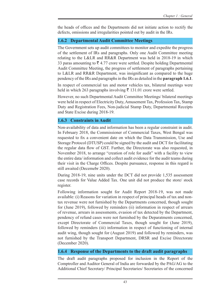the heads of offices and the Departments did not initiate action to rectify the defects, omissions and irregularities pointed out by audit in the IRs.

## **1.6.2 Departmental Audit Committee Meetings**

The Government sets up audit committees to monitor and expedite the progress of the settlement of IRs and paragraphs. Only one Audit Committee meeting relating to the L&LR and RR&R Department was held in 2018-19 in which 33 paras amounting to  $\bar{\xi}$  4.77 crore were settled. Despite holding Departmental Audit Committee Meeting, the progress of settlement of paragraphs pertaining to L&LR and RR&R Department, was insignificant as compared to the huge pendency of the IRs and paragraphs in the IRs as detailed in the **paragraph 1.6.1**.

In respect of commercial tax and motor vehicles tax, bilateral meetings were held in which 263 paragraphs involving  $\bar{\xi}$  131.01 crore were settled.

However, no such Departmental Audit Committee Meetings/ bilateral meetings were held in respect of Electricity Duty, Amusement Tax, Profession Tax, Stamp Duty and Registration Fees, Non-judicial Stamp Duty, Departmental Receipts and State Excise during 2018-19.

## **1.6.3 Constraints in Audit**

Non-availability of data and information has been a regular constraint in audit. In February 2018, the Commissioner of Commercial Taxes, West Bengal was requested to fix a convenient date on which the Data Transmission, Use and Storage Protocol (DTUSP) could be signed by the audit and DCT for facilitating the regular data flow of GST. Further, the Directorate was also requested, in November 2018, to arrange "creation of role for audit" with a facility to view the entire data/ information and collect audit evidence for the audit teams during their visit in the Charge Offices. Despite pursuance, response in this regard is still awaited (Decemebr 2020).

During 2018-19, nine units under the DCT did not provide 1,535 assessment case records for Value Added Tax. One unit did not produce the store/ stock register.

Following information sought for Audit Report 2018-19, was not made available: (i) Reasons for variation in respect of principal heads of tax and nontax revenue were not furnished by the Departments concerned, though sought for (June 2019), followed by reminders (ii) information in respect of arrears of revenue, arrears in assessments, evasion of tax detected by the Department, pendency of refund cases were not furnished by the Deparatments concerned, except Directorate of Commercial Taxes, though sought for (June 2019), followed by reminders (iii) information in respect of functioning of internal audit wing, though sought for (August 2019) and followed by reminders, was not furnished by the Transport Department, DRSR and Excise Directorate (December 2020).

### **1.6.4 Response of the Departments to the draft audit paragraphs**

The draft audit paragraphs proposed for inclusion in the Report of the Comptroller and Auditor General of India are forwarded by the PAG/AG to the Additional Chief Secretary/ Principal Secretaries/ Secretaries of the concerned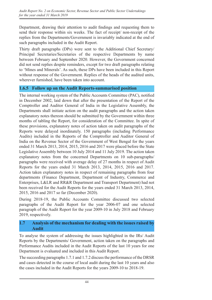Department, drawing their attention to audit findings and requesting them to send their response within six weeks. The fact of receipt/ non-receipt of the replies from the Departments/Government is invariably indicated at the end of such paragraphs included in the Audit Report.

Thirty draft paragraphs (DPs) were sent to the Additional Chief Secretary/ Principal Secretaries/Secretaries of the respective Departments by name between February and September 2020. However, the Government concerned did not send replies despite reminders, except for two draft paragraphs relating to 'Mines and Minerals'. As such, these DPs have been included in this Report without response of the Government. Replies of the heads of the audited units, wherever furnished, have been taken into account.

### **1.6.5 Follow up on the Audit Reports-summarised position**

The internal working system of the Public Accounts Committee (PAC), notified in December 2002, laid down that after the presentation of the Report of the Comptroller and Auditor General of India in the Legislative Assembly, the Departments shall initiate action on the audit paragraphs and the action taken explanatory notes thereon should be submitted by the Government within three months of tabling the Report, for consideration of the Committee. In spite of these provisions, explanatory notes of action taken on audit paragraphs of the Reports were delayed inordinately. 150 paragraphs (including Performance Audits) included in the Reports of the Comptroller and Auditor General of India on the Revenue Sector of the Government of West Bengal for the years ended 31 March 2013, 2014, 2015, 2016 and 2017 were placed before the State Legislative Assembly between 10 July 2014 and 11 July 2019. The action taken explanatory notes from the concerned Departments on 10 sub-paragraphs/ paragraphs were received with average delay of 27 months in respect of Audit Reports for the years ended 31 March 2013, 2014, 2015, 2016 and 2017. Action taken explanatory notes in respect of remaining paragraphs from four departments (Finance Department, Department of Industry, Commerce and Enterprises, L&LR and RR&R Department and Transport Department) had not been received for the Audit Reports for the years ended 31 March 2013, 2014, 2015, 2016 and 2017 so far (December 2020).

During 2018-19, the Public Accounts Committee discussed two selected paragraphs of the Audit Report for the year 2006-07 and one selected paragraph of the Audit Report for the year 2009-10 in July 2018 and February 2019, respectively.

#### **1.7 Analysis of the mechanism for dealing with the issues raised by Audit**

To analyse the system of addressing the issues highlighted in the IRs/ Audit Reports by the Departments/ Government, action taken on the paragraphs and Performance Audits included in the Audit Reports of the last 10 years for one Department is evaluated and included in this Audit Report.

The succeeding paragraphs 1.7.1 and 1.7.2 discuss the performance of the DRSR and cases detected in the course of local audit during the last 10 years and also the cases included in the Audit Reports for the years 2009-10 to 2018-19.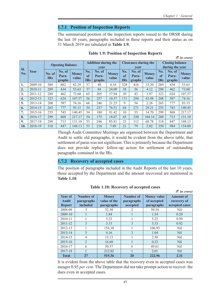*(*` *in crore)*

#### **1.7.1 Position of Inspection Reports**

The summarised position of the inspection reports issued to the DRSR during the last 10 years, paragraphs included in these reports and their status as on 31 March 2019 are tabulated in **Table 1.9.**

|                  |         |                      |                           |                       |                            |                                   |                       |                         |                                   |                       |                         |                                           | $(3 \nvert n \text{ error})$ |  |
|------------------|---------|----------------------|---------------------------|-----------------------|----------------------------|-----------------------------------|-----------------------|-------------------------|-----------------------------------|-----------------------|-------------------------|-------------------------------------------|------------------------------|--|
|                  |         |                      | <b>Opening Balance</b>    |                       | <b>Addition during the</b> |                                   |                       |                         | <b>Clearance during the</b>       |                       |                         | <b>Closing balance</b><br>during the year |                              |  |
| SI.<br>No.       | Year    | No. of<br><b>IRs</b> | No. of<br>Para-<br>graphs | <b>Money</b><br>value | No.<br>of<br><b>IRs</b>    | year<br>No. of<br>Para-<br>graphs | <b>Money</b><br>value | No.<br>of<br><b>IRs</b> | vear<br>No. of<br>Para-<br>graphs | <b>Money</b><br>value | No.<br>of<br><b>IRs</b> | No. of<br>Para-<br>graphs                 | <b>Money</b><br>value        |  |
| 1.               | 2009-10 | 580                  | 802                       | 82.29                 | 37                         | 48                                | 4.54                  | 328                     | 416                               | 33.20                 | 289                     | 434                                       | 53.63                        |  |
| 2.               | 2010-11 | 289                  | 434                       | 53.63                 | 37                         | 84                                | 24.09                 | 38                      | 56                                | 4.12                  | 288                     | 462                                       | 73.60                        |  |
| 3.               | 2011-12 | 288                  | 462                       | 73.60                 | 65                         | 205                               | 37.94                 | 30                      | 43                                | 3.97                  | 323                     | 624                                       | 107.57                       |  |
| $\overline{4}$ . | 2012-13 | 323                  | 624                       | 107.57                | 56                         | 257                               | 10.57                 | 171                     | 294                               | 43.98                 | 208                     | 587                                       | 74.16                        |  |
| 5.               | 2013-14 | 208                  | 587                       | 74.16                 | 66                         | 246                               | 21.25                 | 9                       | 56                                | 2.26                  | 265                     | 777                                       | 93.15                        |  |
| 6.               | 2014-15 | 265                  | 777                       | 93.15                 | 54                         | 237                               | 76.51                 | 64                      | 271                               | 29.21                 | 255                     | 743                                       | 140.45                       |  |
| 7.               | 2015-16 | 255                  | 743                       | 140.45                | 54                         | 180                               | 91.42                 | 10                      | 55                                | 14.70                 | 299                     | 868                                       | 217.17                       |  |
| 8.               | 2016-17 | 299                  | 868                       | 217.17                | 54                         | 175                               | 18.07                 | 65                      | 330                               | 104.14                | 288                     | 713                                       | 131.10                       |  |
| 9.               | 2017-18 | 288                  | 713                       | 131.10                | 53                         | 246                               | 85.81                 | 23                      | 112                               | 68.78                 | 318                     | 847                                       | 148.13                       |  |
| 10.              | 2018-19 | 318                  | 847                       | 148.13                | 53                         | 216                               | 7.89                  | 21                      | 79                                | 2.02                  | 350                     | 984                                       | 154.00                       |  |

#### **Table 1.9: Position of Inspection Reports**

Though Audit Committee Meetings are organised between the Department and Audit to settle old paragraphs, it would be evident from the above table, that settlement of paras was not significant. This is primarily because the Department does not provide replies/ follow-up action for settlement of outstanding paragraphs contained in the IRs.

#### **1.7.2 Recovery of accepted cases**

The position of paragraphs included in the Audit Reports of the last 10 years, those accepted by the Department and the amount recovered are mentioned in **Table 1.10**.

| Year of<br><b>Audit</b><br><b>Report</b> | <b>Number</b> of<br>paragraphs<br>included | <b>Money</b><br>value of the<br>paragraphs | <b>Number of</b><br>paragraphs<br>accepted | <b>Money value</b><br>of accepted<br>paragraphs | <b>Amount of</b><br>recovery of<br>accepted cases |
|------------------------------------------|--------------------------------------------|--------------------------------------------|--------------------------------------------|-------------------------------------------------|---------------------------------------------------|
| 2008-09                                  | 3                                          | 52.30                                      | 2                                          | 50.54                                           | Nil                                               |
| 2009-10                                  |                                            | 1.84                                       |                                            | 1.54                                            | 0.20                                              |
| 2010-11                                  |                                            | 5.23                                       |                                            | 5.23                                            | 0.99                                              |
| $2011 - 12$                              | 3                                          | 3.33                                       | 3                                          | 3.33                                            | 0.92                                              |
| 2012-13                                  |                                            | 154.10                                     |                                            | 106.93                                          | <b>Nil</b>                                        |
| $2013 - 14$                              | 5                                          | 4.16                                       | 3                                          | 1.04                                            | <b>Nil</b>                                        |
| 2014-15                                  | 4                                          | 15.13                                      |                                            | 2.50                                            | Nil                                               |
| 2015-16                                  | $\overline{2}$                             | 16.68                                      |                                            | 0.23                                            | <b>Nil</b>                                        |
| 2016-17                                  | 6                                          | 50.57                                      | 6                                          | 49.61                                           | Nil                                               |
| 2017-18                                  |                                            | 212.02                                     |                                            | 2.01                                            | <b>Nil</b>                                        |
| <b>Total</b>                             | 27                                         | 515.36                                     | 20                                         | 222.96                                          | 2.11                                              |

**Table 1.10: Recovery of accepted cases**

It is evident from the above table that the recovery even in accepted cases was meagre 0.95 *per cent*. The Department did not take prompt action to recover the dues even in accepted cases.